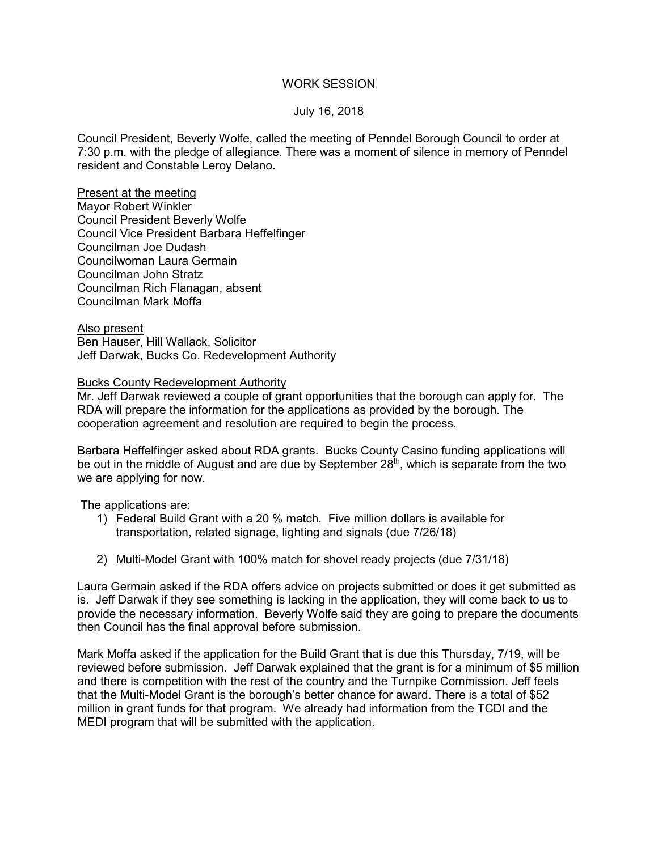## WORK SESSION

# July 16, 2018

Council President, Beverly Wolfe, called the meeting of Penndel Borough Council to order at 7:30 p.m. with the pledge of allegiance. There was a moment of silence in memory of Penndel resident and Constable Leroy Delano.

Present at the meeting Mayor Robert Winkler Council President Beverly Wolfe Council Vice President Barbara Heffelfinger Councilman Joe Dudash Councilwoman Laura Germain Councilman John Stratz Councilman Rich Flanagan, absent Councilman Mark Moffa

Also present Ben Hauser, Hill Wallack, Solicitor Jeff Darwak, Bucks Co. Redevelopment Authority

#### Bucks County Redevelopment Authority

Mr. Jeff Darwak reviewed a couple of grant opportunities that the borough can apply for. The RDA will prepare the information for the applications as provided by the borough. The cooperation agreement and resolution are required to begin the process.

Barbara Heffelfinger asked about RDA grants. Bucks County Casino funding applications will be out in the middle of August and are due by September 28<sup>th</sup>, which is separate from the two we are applying for now.

The applications are:

- 1) Federal Build Grant with a 20 % match. Five million dollars is available for transportation, related signage, lighting and signals (due 7/26/18)
- 2) Multi-Model Grant with 100% match for shovel ready projects (due 7/31/18)

Laura Germain asked if the RDA offers advice on projects submitted or does it get submitted as is. Jeff Darwak if they see something is lacking in the application, they will come back to us to provide the necessary information. Beverly Wolfe said they are going to prepare the documents then Council has the final approval before submission.

Mark Moffa asked if the application for the Build Grant that is due this Thursday, 7/19, will be reviewed before submission. Jeff Darwak explained that the grant is for a minimum of \$5 million and there is competition with the rest of the country and the Turnpike Commission. Jeff feels that the Multi-Model Grant is the borough's better chance for award. There is a total of \$52 million in grant funds for that program. We already had information from the TCDI and the MEDI program that will be submitted with the application.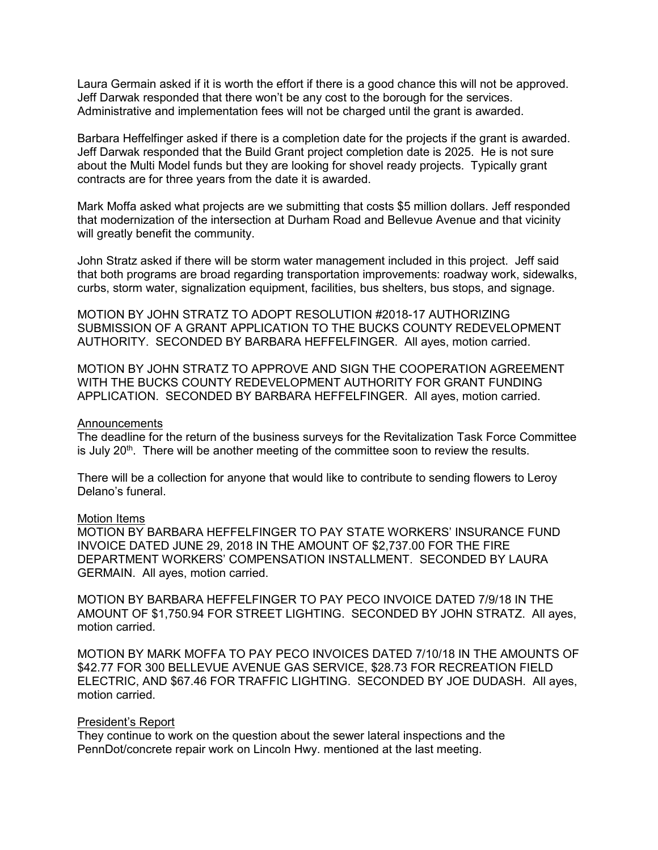Laura Germain asked if it is worth the effort if there is a good chance this will not be approved. Jeff Darwak responded that there won't be any cost to the borough for the services. Administrative and implementation fees will not be charged until the grant is awarded.

Barbara Heffelfinger asked if there is a completion date for the projects if the grant is awarded. Jeff Darwak responded that the Build Grant project completion date is 2025. He is not sure about the Multi Model funds but they are looking for shovel ready projects. Typically grant contracts are for three years from the date it is awarded.

Mark Moffa asked what projects are we submitting that costs \$5 million dollars. Jeff responded that modernization of the intersection at Durham Road and Bellevue Avenue and that vicinity will greatly benefit the community.

John Stratz asked if there will be storm water management included in this project. Jeff said that both programs are broad regarding transportation improvements: roadway work, sidewalks, curbs, storm water, signalization equipment, facilities, bus shelters, bus stops, and signage.

MOTION BY JOHN STRATZ TO ADOPT RESOLUTION #2018-17 AUTHORIZING SUBMISSION OF A GRANT APPLICATION TO THE BUCKS COUNTY REDEVELOPMENT AUTHORITY. SECONDED BY BARBARA HEFFELFINGER. All ayes, motion carried.

MOTION BY JOHN STRATZ TO APPROVE AND SIGN THE COOPERATION AGREEMENT WITH THE BUCKS COUNTY REDEVELOPMENT AUTHORITY FOR GRANT FUNDING APPLICATION. SECONDED BY BARBARA HEFFELFINGER. All ayes, motion carried.

#### Announcements

The deadline for the return of the business surveys for the Revitalization Task Force Committee is July  $20<sup>th</sup>$ . There will be another meeting of the committee soon to review the results.

There will be a collection for anyone that would like to contribute to sending flowers to Leroy Delano's funeral.

#### Motion Items

MOTION BY BARBARA HEFFELFINGER TO PAY STATE WORKERS' INSURANCE FUND INVOICE DATED JUNE 29, 2018 IN THE AMOUNT OF \$2,737.00 FOR THE FIRE DEPARTMENT WORKERS' COMPENSATION INSTALLMENT. SECONDED BY LAURA GERMAIN. All ayes, motion carried.

MOTION BY BARBARA HEFFELFINGER TO PAY PECO INVOICE DATED 7/9/18 IN THE AMOUNT OF \$1,750.94 FOR STREET LIGHTING. SECONDED BY JOHN STRATZ. All ayes, motion carried.

MOTION BY MARK MOFFA TO PAY PECO INVOICES DATED 7/10/18 IN THE AMOUNTS OF \$42.77 FOR 300 BELLEVUE AVENUE GAS SERVICE, \$28.73 FOR RECREATION FIELD ELECTRIC, AND \$67.46 FOR TRAFFIC LIGHTING. SECONDED BY JOE DUDASH. All ayes, motion carried.

#### President's Report

They continue to work on the question about the sewer lateral inspections and the PennDot/concrete repair work on Lincoln Hwy. mentioned at the last meeting.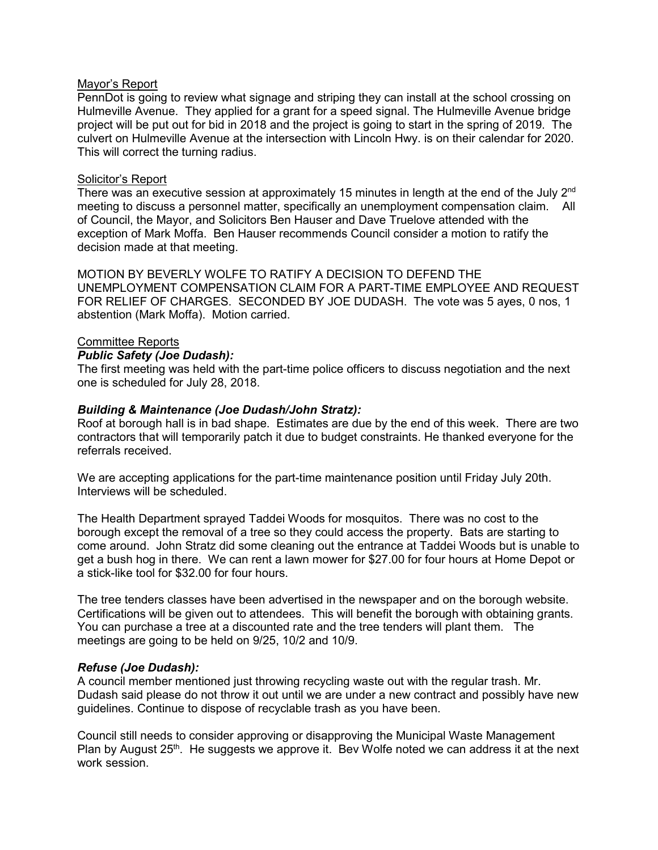# Mayor's Report

PennDot is going to review what signage and striping they can install at the school crossing on Hulmeville Avenue. They applied for a grant for a speed signal. The Hulmeville Avenue bridge project will be put out for bid in 2018 and the project is going to start in the spring of 2019. The culvert on Hulmeville Avenue at the intersection with Lincoln Hwy. is on their calendar for 2020. This will correct the turning radius.

# Solicitor's Report

There was an executive session at approximately 15 minutes in length at the end of the July 2<sup>nd</sup> meeting to discuss a personnel matter, specifically an unemployment compensation claim. All of Council, the Mayor, and Solicitors Ben Hauser and Dave Truelove attended with the exception of Mark Moffa. Ben Hauser recommends Council consider a motion to ratify the decision made at that meeting.

MOTION BY BEVERLY WOLFE TO RATIFY A DECISION TO DEFEND THE UNEMPLOYMENT COMPENSATION CLAIM FOR A PART-TIME EMPLOYEE AND REQUEST FOR RELIEF OF CHARGES. SECONDED BY JOE DUDASH. The vote was 5 ayes, 0 nos, 1 abstention (Mark Moffa). Motion carried.

# Committee Reports

# *Public Safety (Joe Dudash):*

The first meeting was held with the part-time police officers to discuss negotiation and the next one is scheduled for July 28, 2018.

# *Building & Maintenance (Joe Dudash/John Stratz):*

Roof at borough hall is in bad shape. Estimates are due by the end of this week. There are two contractors that will temporarily patch it due to budget constraints. He thanked everyone for the referrals received.

We are accepting applications for the part-time maintenance position until Friday July 20th. Interviews will be scheduled.

The Health Department sprayed Taddei Woods for mosquitos. There was no cost to the borough except the removal of a tree so they could access the property. Bats are starting to come around. John Stratz did some cleaning out the entrance at Taddei Woods but is unable to get a bush hog in there. We can rent a lawn mower for \$27.00 for four hours at Home Depot or a stick-like tool for \$32.00 for four hours.

The tree tenders classes have been advertised in the newspaper and on the borough website. Certifications will be given out to attendees. This will benefit the borough with obtaining grants. You can purchase a tree at a discounted rate and the tree tenders will plant them. The meetings are going to be held on 9/25, 10/2 and 10/9.

#### *Refuse (Joe Dudash):*

A council member mentioned just throwing recycling waste out with the regular trash. Mr. Dudash said please do not throw it out until we are under a new contract and possibly have new guidelines. Continue to dispose of recyclable trash as you have been.

Council still needs to consider approving or disapproving the Municipal Waste Management Plan by August  $25<sup>th</sup>$ . He suggests we approve it. Bev Wolfe noted we can address it at the next work session.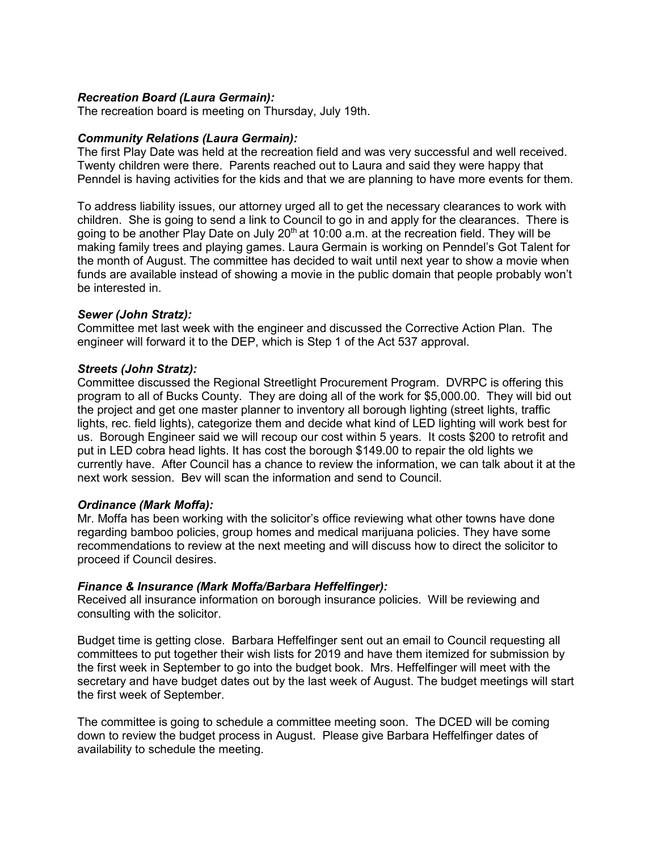# *Recreation Board (Laura Germain):*

The recreation board is meeting on Thursday, July 19th.

### *Community Relations (Laura Germain):*

The first Play Date was held at the recreation field and was very successful and well received. Twenty children were there. Parents reached out to Laura and said they were happy that Penndel is having activities for the kids and that we are planning to have more events for them.

To address liability issues, our attorney urged all to get the necessary clearances to work with children. She is going to send a link to Council to go in and apply for the clearances. There is going to be another Play Date on July 20<sup>th</sup> at 10:00 a.m. at the recreation field. They will be making family trees and playing games. Laura Germain is working on Penndel's Got Talent for the month of August. The committee has decided to wait until next year to show a movie when funds are available instead of showing a movie in the public domain that people probably won't be interested in.

#### *Sewer (John Stratz):*

Committee met last week with the engineer and discussed the Corrective Action Plan. The engineer will forward it to the DEP, which is Step 1 of the Act 537 approval.

# *Streets (John Stratz):*

Committee discussed the Regional Streetlight Procurement Program. DVRPC is offering this program to all of Bucks County. They are doing all of the work for \$5,000.00. They will bid out the project and get one master planner to inventory all borough lighting (street lights, traffic lights, rec. field lights), categorize them and decide what kind of LED lighting will work best for us. Borough Engineer said we will recoup our cost within 5 years. It costs \$200 to retrofit and put in LED cobra head lights. It has cost the borough \$149.00 to repair the old lights we currently have. After Council has a chance to review the information, we can talk about it at the next work session. Bev will scan the information and send to Council.

#### *Ordinance (Mark Moffa):*

Mr. Moffa has been working with the solicitor's office reviewing what other towns have done regarding bamboo policies, group homes and medical marijuana policies. They have some recommendations to review at the next meeting and will discuss how to direct the solicitor to proceed if Council desires.

#### *Finance & Insurance (Mark Moffa/Barbara Heffelfinger):*

Received all insurance information on borough insurance policies. Will be reviewing and consulting with the solicitor.

Budget time is getting close. Barbara Heffelfinger sent out an email to Council requesting all committees to put together their wish lists for 2019 and have them itemized for submission by the first week in September to go into the budget book. Mrs. Heffelfinger will meet with the secretary and have budget dates out by the last week of August. The budget meetings will start the first week of September.

The committee is going to schedule a committee meeting soon. The DCED will be coming down to review the budget process in August. Please give Barbara Heffelfinger dates of availability to schedule the meeting.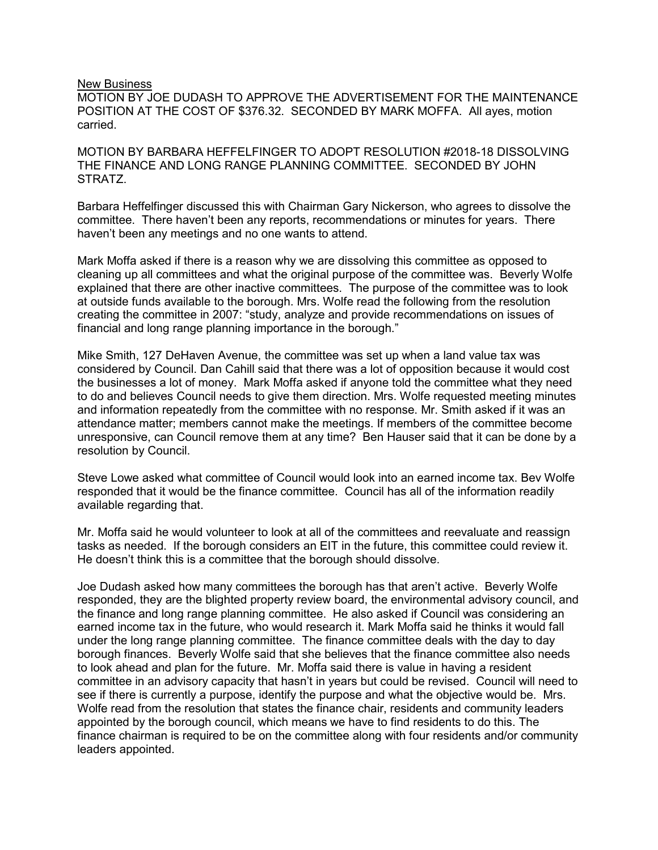#### New Business

MOTION BY JOE DUDASH TO APPROVE THE ADVERTISEMENT FOR THE MAINTENANCE POSITION AT THE COST OF \$376.32. SECONDED BY MARK MOFFA. All ayes, motion carried.

MOTION BY BARBARA HEFFELFINGER TO ADOPT RESOLUTION #2018-18 DISSOLVING THE FINANCE AND LONG RANGE PLANNING COMMITTEE. SECONDED BY JOHN STRATZ.

Barbara Heffelfinger discussed this with Chairman Gary Nickerson, who agrees to dissolve the committee. There haven't been any reports, recommendations or minutes for years. There haven't been any meetings and no one wants to attend.

Mark Moffa asked if there is a reason why we are dissolving this committee as opposed to cleaning up all committees and what the original purpose of the committee was. Beverly Wolfe explained that there are other inactive committees. The purpose of the committee was to look at outside funds available to the borough. Mrs. Wolfe read the following from the resolution creating the committee in 2007: "study, analyze and provide recommendations on issues of financial and long range planning importance in the borough."

Mike Smith, 127 DeHaven Avenue, the committee was set up when a land value tax was considered by Council. Dan Cahill said that there was a lot of opposition because it would cost the businesses a lot of money. Mark Moffa asked if anyone told the committee what they need to do and believes Council needs to give them direction. Mrs. Wolfe requested meeting minutes and information repeatedly from the committee with no response. Mr. Smith asked if it was an attendance matter; members cannot make the meetings. If members of the committee become unresponsive, can Council remove them at any time? Ben Hauser said that it can be done by a resolution by Council.

Steve Lowe asked what committee of Council would look into an earned income tax. Bev Wolfe responded that it would be the finance committee. Council has all of the information readily available regarding that.

Mr. Moffa said he would volunteer to look at all of the committees and reevaluate and reassign tasks as needed. If the borough considers an EIT in the future, this committee could review it. He doesn't think this is a committee that the borough should dissolve.

Joe Dudash asked how many committees the borough has that aren't active. Beverly Wolfe responded, they are the blighted property review board, the environmental advisory council, and the finance and long range planning committee. He also asked if Council was considering an earned income tax in the future, who would research it. Mark Moffa said he thinks it would fall under the long range planning committee. The finance committee deals with the day to day borough finances. Beverly Wolfe said that she believes that the finance committee also needs to look ahead and plan for the future. Mr. Moffa said there is value in having a resident committee in an advisory capacity that hasn't in years but could be revised. Council will need to see if there is currently a purpose, identify the purpose and what the objective would be. Mrs. Wolfe read from the resolution that states the finance chair, residents and community leaders appointed by the borough council, which means we have to find residents to do this. The finance chairman is required to be on the committee along with four residents and/or community leaders appointed.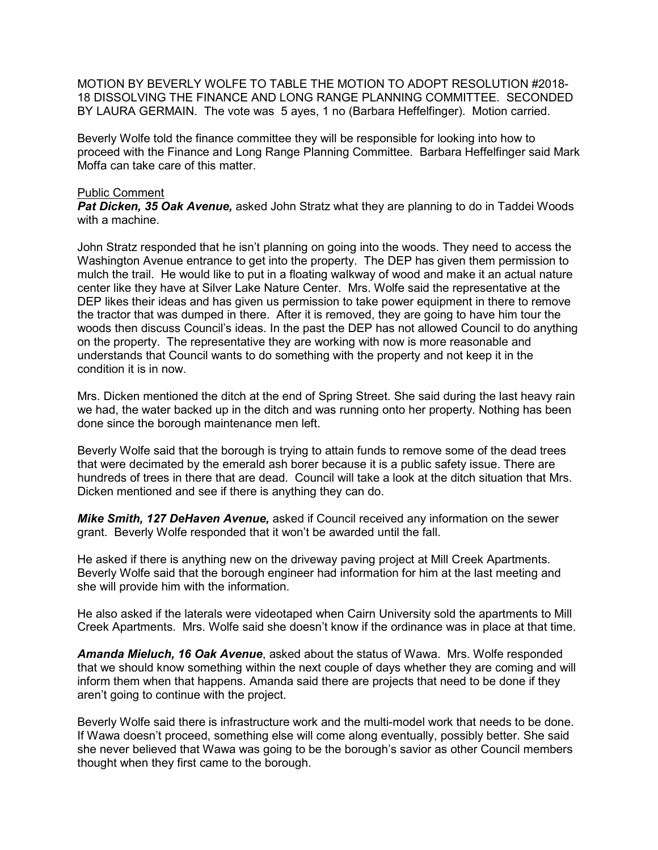MOTION BY BEVERLY WOLFE TO TABLE THE MOTION TO ADOPT RESOLUTION #2018- 18 DISSOLVING THE FINANCE AND LONG RANGE PLANNING COMMITTEE. SECONDED BY LAURA GERMAIN. The vote was 5 ayes, 1 no (Barbara Heffelfinger). Motion carried.

Beverly Wolfe told the finance committee they will be responsible for looking into how to proceed with the Finance and Long Range Planning Committee. Barbara Heffelfinger said Mark Moffa can take care of this matter.

### Public Comment

*Pat Dicken, 35 Oak Avenue,* asked John Stratz what they are planning to do in Taddei Woods with a machine.

John Stratz responded that he isn't planning on going into the woods. They need to access the Washington Avenue entrance to get into the property. The DEP has given them permission to mulch the trail. He would like to put in a floating walkway of wood and make it an actual nature center like they have at Silver Lake Nature Center. Mrs. Wolfe said the representative at the DEP likes their ideas and has given us permission to take power equipment in there to remove the tractor that was dumped in there. After it is removed, they are going to have him tour the woods then discuss Council's ideas. In the past the DEP has not allowed Council to do anything on the property. The representative they are working with now is more reasonable and understands that Council wants to do something with the property and not keep it in the condition it is in now.

Mrs. Dicken mentioned the ditch at the end of Spring Street. She said during the last heavy rain we had, the water backed up in the ditch and was running onto her property. Nothing has been done since the borough maintenance men left.

Beverly Wolfe said that the borough is trying to attain funds to remove some of the dead trees that were decimated by the emerald ash borer because it is a public safety issue. There are hundreds of trees in there that are dead. Council will take a look at the ditch situation that Mrs. Dicken mentioned and see if there is anything they can do.

*Mike Smith, 127 DeHaven Avenue,* asked if Council received any information on the sewer grant. Beverly Wolfe responded that it won't be awarded until the fall.

He asked if there is anything new on the driveway paving project at Mill Creek Apartments. Beverly Wolfe said that the borough engineer had information for him at the last meeting and she will provide him with the information.

He also asked if the laterals were videotaped when Cairn University sold the apartments to Mill Creek Apartments. Mrs. Wolfe said she doesn't know if the ordinance was in place at that time.

*Amanda Mieluch, 16 Oak Avenue*, asked about the status of Wawa. Mrs. Wolfe responded that we should know something within the next couple of days whether they are coming and will inform them when that happens. Amanda said there are projects that need to be done if they aren't going to continue with the project.

Beverly Wolfe said there is infrastructure work and the multi-model work that needs to be done. If Wawa doesn't proceed, something else will come along eventually, possibly better. She said she never believed that Wawa was going to be the borough's savior as other Council members thought when they first came to the borough.